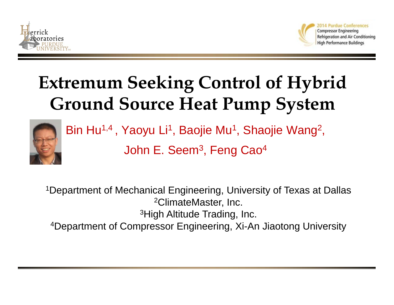



# **Extremum Seeking Control of Hybrid Ground Source Heat Pump System**



Bin Hu<sup>1,4</sup> , Yaoyu Li<sup>1</sup>, Baojie Mu<sup>1</sup>, Shaojie Wang<sup>2</sup>,

John E. Seem<sup>3</sup>, Feng Cao<sup>4</sup>

1Department of Mechanical Engineering, University of Texas at Dallas 2ClimateMaster, Inc. 3High Altitude Trading, Inc. 4Department of Compressor Engineering, Xi-An Jiaotong University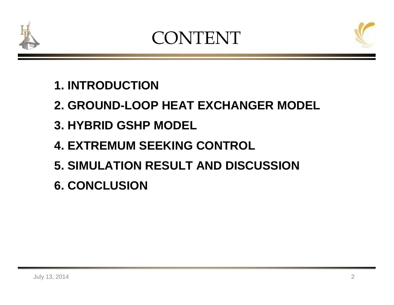

## CONTENT



## **1. INTRODUCTION**

## **2. GROUND-LOOP HEAT EXCHANGER MODEL**

- **3. HYBRID GSHP MODEL**
- **4. EXTREMUM SEEKING CONTROL**
- **5. SIMULATION RESULT AND DISCUSSION**
- **6. CONCLUSION**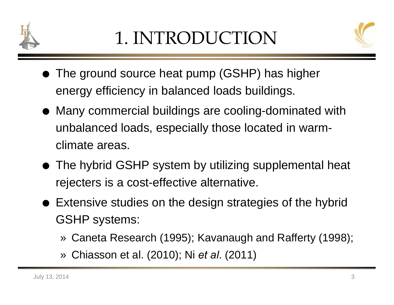



- The ground source heat pump (GSHP) has higher energy efficiency in balanced loads buildings.
- Many commercial buildings are cooling-dominated with unbalanced loads, especially those located in warmclimate areas.
- The hybrid GSHP system by utilizing supplemental heat rejecters is a cost-effective alternative.
- Extensive studies on the design strategies of the hybrid GSHP systems:
	- » Caneta Research (1995); Kavanaugh and Rafferty (1998);
	- » Chiasson et al. (2010); Ni *et al*. (2011)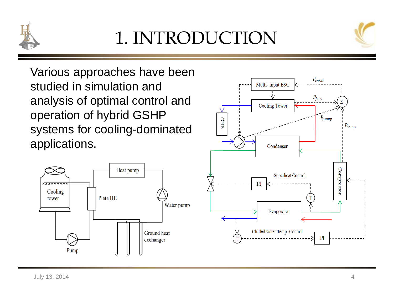

# 1. INTRODUCTION



Various approaches have been studied in simulation and analysis of optimal control and operation of hybrid GSHP systems for cooling-dominated applications.



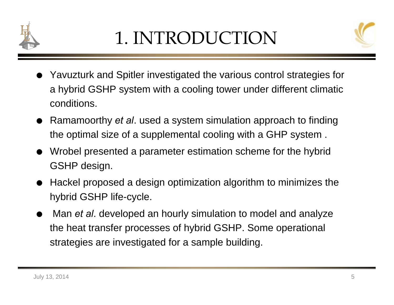



- Yavuzturk and Spitler investigated the various control strategies for a hybrid GSHP system with a cooling tower under different climatic conditions.
- Ramamoorthy *et al*. used a system simulation approach to finding the optimal size of a supplemental cooling with a GHP system .
- Wrobel presented a parameter estimation scheme for the hybrid GSHP design.
- $\bullet$  Hackel proposed a design optimization algorithm to minimizes the hybrid GSHP life-cycle.
- $\bullet$  Man *et al*. developed an hourly simulation to model and analyze the heat transfer processes of hybrid GSHP. Some operational strategies are investigated for a sample building.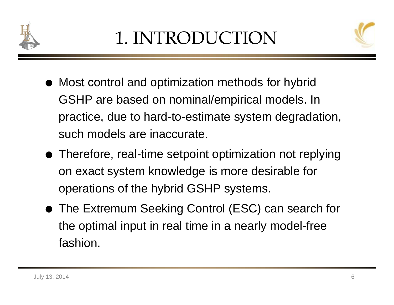



- Most control and optimization methods for hybrid GSHP are based on nominal/empirical models. In practice, due to hard-to-estimate system degradation, such models are inaccurate.
- Therefore, real-time setpoint optimization not replying on exact system knowledge is more desirable for operations of the hybrid GSHP systems.
- The Extremum Seeking Control (ESC) can search for the optimal input in real time in a nearly model-free fashion.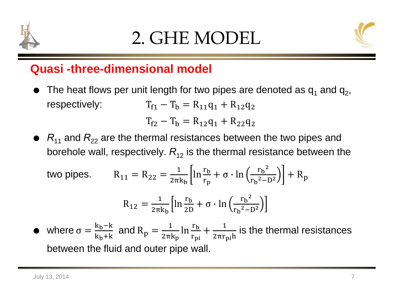



#### **Quasi -three-dimensional model**

 $\bullet$  $\bullet~$  The heat flows per unit length for two pipes are denoted as  $\mathsf{q}_1$  and  $\mathsf{q}_2,$ respectively:  $T_1 - T_b = R_{11}q_1 + R_{12}q_2$ 

$$
T_{f2} - T_b = R_{12}q_1 + R_{22}q_2
$$

 $\bullet$   $R_{11}$  and  $R_{22}$  are the thermal resistances between the two pipes and borehole wall, respectively.  $R^{\,}_{12}$  is the thermal resistance between the

two pipes. 
$$
R_{11} = R_{22} = \frac{1}{2\pi k_b} \left[ \ln \frac{r_b}{r_p} + \sigma \cdot \ln \left( \frac{r_b^2}{r_b^2 - D^2} \right) \right] + R_p
$$

$$
R_{12} = \frac{1}{2\pi k_b} \left[ \ln \frac{r_b}{2D} + \sigma \cdot \ln \left( \frac{r_b^2}{r_b^2 - D^2} \right) \right]
$$

 $\bullet$ • where  $\sigma = \frac{k_b - k}{k_b + k}$  and  $R_p = \frac{1}{2\pi k_p} \ln \frac{r_b}{r_{pi}} + \frac{1}{2\pi r_{pi}h}$  is the thermal resistances between the fluid and outer pipe wall.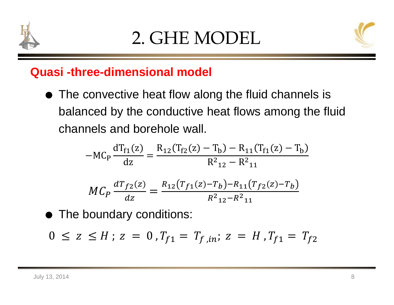



#### **Quasi -three-dimensional model**

● The convective heat flow along the fluid channels is balanced by the conductive heat flows among the fluid channels and borehole wall.

$$
-MC_P \frac{dT_{f1}(z)}{dz} = \frac{R_{12}(T_{f2}(z) - T_b) - R_{11}(T_{f1}(z) - T_b)}{R_{12}^2 - R_{11}^2}
$$

$$
MC_P \frac{dT_{f2}(z)}{dz} = \frac{R_{12}(T_{f1}(z) - T_b) - R_{11}(T_{f2}(z) - T_b)}{R_{12}^2 - R_{11}^2}
$$

The boundary conditions:

$$
0 \le z \le H \, ; \, z = 0 \, , T_{f1} = T_{f,in}; \, z = H \, , T_{f1} = T_{f2}
$$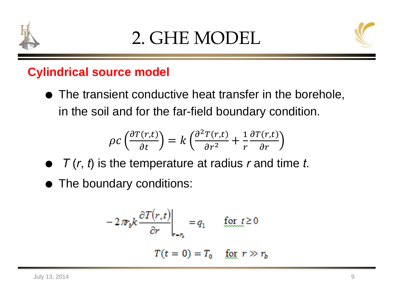



### **Cylindrical source model**

 The transient conductive heat transfer in the borehole, in the soil and for the far-field boundary condition.

$$
\rho c \left( \frac{\partial T(r,t)}{\partial t} \right) = k \left( \frac{\partial^2 T(r,t)}{\partial r^2} + \frac{1}{r} \frac{\partial T(r,t)}{\partial r} \right)
$$

- *T* (*<sup>r</sup>*, *t*) is the temperature at radius *<sup>r</sup>* and time *t*.
- The boundary conditions:

$$
-2\pi r_b k \frac{\partial T(r,t)}{\partial r}\Big|_{r=r_b} = q_1 \qquad \text{for } t \ge 0
$$

$$
T(t=0) = T_0 \qquad \text{for } r \gg r_b
$$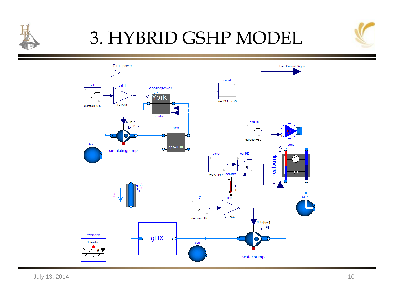

# 3. HYBRID GSHP MODEL



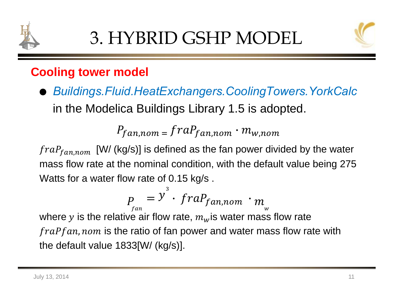



### **Cooling tower model**

 *Buildings.Fluid.HeatExchangers.CoolingTowers.YorkCalc* in the Modelica Buildings Library 1.5 is adopted.

$$
P_{fan,nom} = fraP_{fan,nom} \cdot m_{w,nom}
$$

 $fraP_{fan,nom}$  [W/ (kg/s)] is defined as the fan power divided by the water mass flow rate at the nominal condition, with the default value being 275 Watts for a water flow rate of 0.15 kg/s .

where 
$$
p_{\text{tan}} = y^3 \cdot \text{frac}_{\text{fan,nom}} \cdot m_{\text{w}}
$$
 where *y* is the relative air flow rate,  $m_{\text{w}}$  is water mass flow rate *fracing* from its the ratio of fan power and water mass flow rate with

the default value 1833[W/ (kg/s)].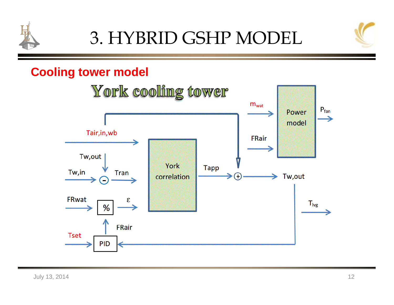



#### **Cooling tower model**

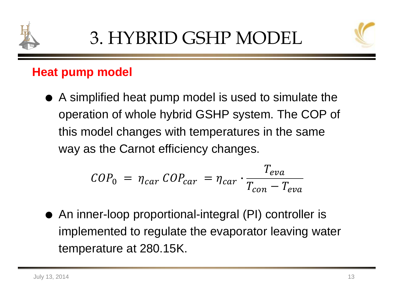



### **Heat pump model**

 A simplified heat pump model is used to simulate the operation of whole hybrid GSHP system. The COP of this model changes with temperatures in the same way as the Carnot efficiency changes.

$$
COP_0 = \eta_{car} \, COP_{car} = \eta_{car} \cdot \frac{T_{eva}}{T_{con} - T_{eva}}
$$

 $\bullet$  An inner-loop proportional-integral (PI) controller is implemented to regulate the evaporator leaving water temperature at 280.15K.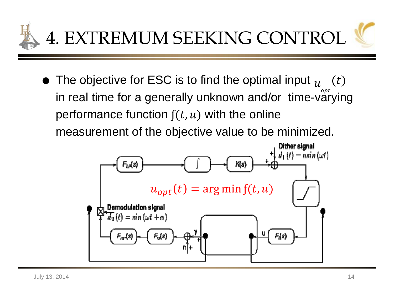

 $\bullet\,$  The objective for ESC is to find the optimal input  $_{\mathcal{U}}\,$   $\,$   $(t)$ in real time for a generally unknown and/or  $\;\mathsf{time}\text{-}\mathsf{v}\overset{\mathsf{opt}}{\mathsf{arying}}$ performance function  $f(t, u)$  with the online measurement of the objective value to be minimized.

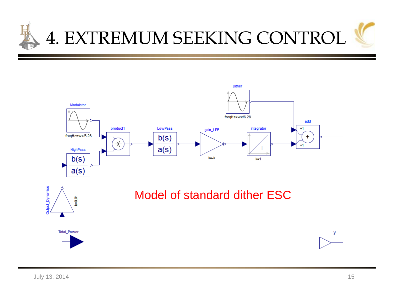

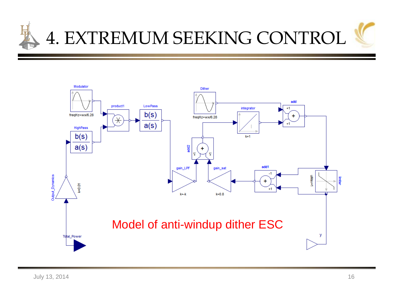

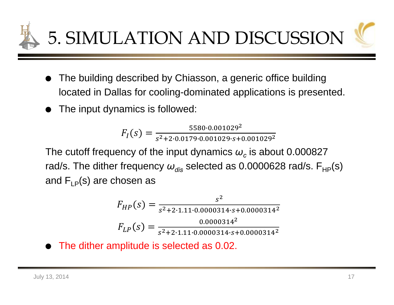5. SIMULATION AND DISCUSSION

- $\bullet$  The building described by Chiasson, a generic office building located in Dallas for cooling-dominated applications is presented.
- $\bullet$ The input dynamics is followed:

$$
F_I(s) = \frac{5580 \cdot 0.001029^2}{s^2 + 2 \cdot 0.0179 \cdot 0.001029 \cdot s + 0.001029^2}
$$

The cutoff frequency of the input dynamics  $\omega_c$  is about 0.000827 rad/s. The dither frequency  $\omega_{\sf dis}$  selected as 0.0000628 rad/s. F<sub>HP</sub>(s) and  $F_{LP}(s)$  are chosen as

$$
F_{HP}(s) = \frac{s^2}{s^2 + 2 \cdot 1.11 \cdot 0.0000314 \cdot s + 0.0000314^2}
$$

$$
F_{LP}(s) = \frac{0.0000314^2}{s^2 + 2 \cdot 1.11 \cdot 0.0000314 \cdot s + 0.0000314^2}
$$

 $\bullet$ The dither amplitude is selected as 0.02.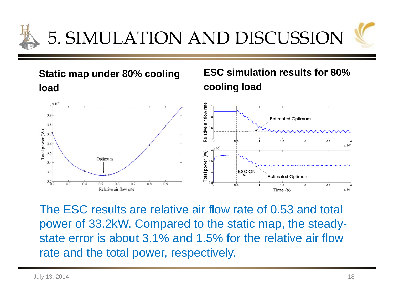

**Static map under 80% cooling load**

#### **ESC simulation results for 80% cooling load**



The ESC results are relative air flow rate of 0.53 and total power of 33.2kW. Compared to the static map, the steadystate error is about 3.1% and 1.5% for the relative air flow rate and the total power, respectively.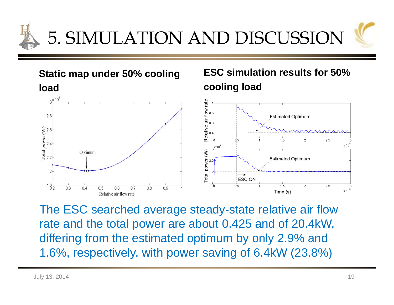

**Static map under 50% cooling load**

#### **ESC simulation results for 50% cooling load**



The ESC searched average steady-state relative air flow rate and the total power are about 0.425 and of 20.4kW, differing from the estimated optimum by only 2.9% and 1.6%, respectively. with power saving of 6.4kW (23.8%)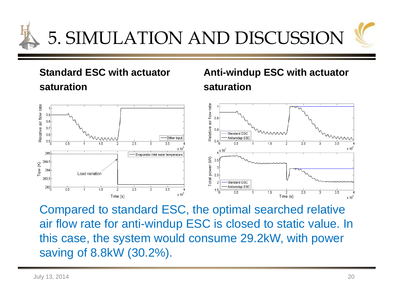

#### **Standard ESC with actuator saturation**

#### **Anti-windup ESC with actuator saturation**



Compared to standard ESC, the optimal searched relative air flow rate for anti-windup ESC is closed to static value. In this case, the system would consume 29.2kW, with power saving of 8.8kW (30.2%).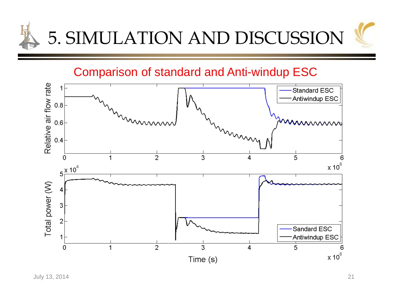

Comparison of standard and Anti-windup ESC

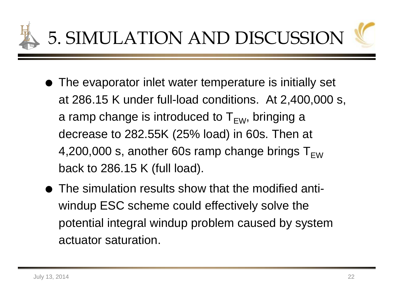

- The evaporator inlet water temperature is initially set at 286.15 K under full-load conditions. At 2,400,000 s, a ramp change is introduced to  $T_{\text{EW}}$ , bringing a decrease to 282.55K (25% load) in 60s. Then at 4,200,000 s, another 60s ramp change brings  $T_{FW}$ back to 286.15 K (full load).
- The simulation results show that the modified antiwindup ESC scheme could effectively solve the potential integral windup problem caused by system actuator saturation.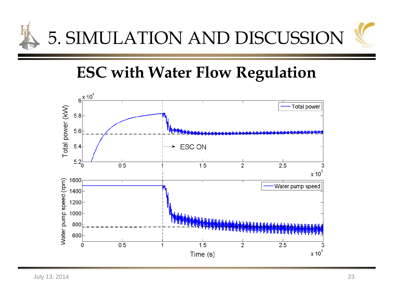

## **ESC with Water Flow Regulation**

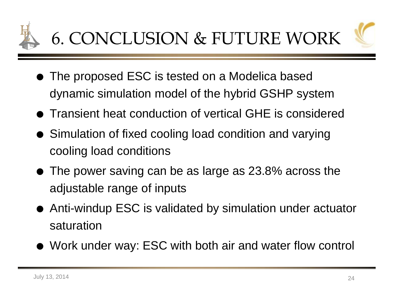

- The proposed ESC is tested on a Modelica based dynamic simulation model of the hybrid GSHP system
- Transient heat conduction of vertical GHE is considered
- Simulation of fixed cooling load condition and varying cooling load conditions
- The power saving can be as large as 23.8% across the adjustable range of inputs
- Anti-windup ESC is validated by simulation under actuator saturation
- Work under way: ESC with both air and water flow control